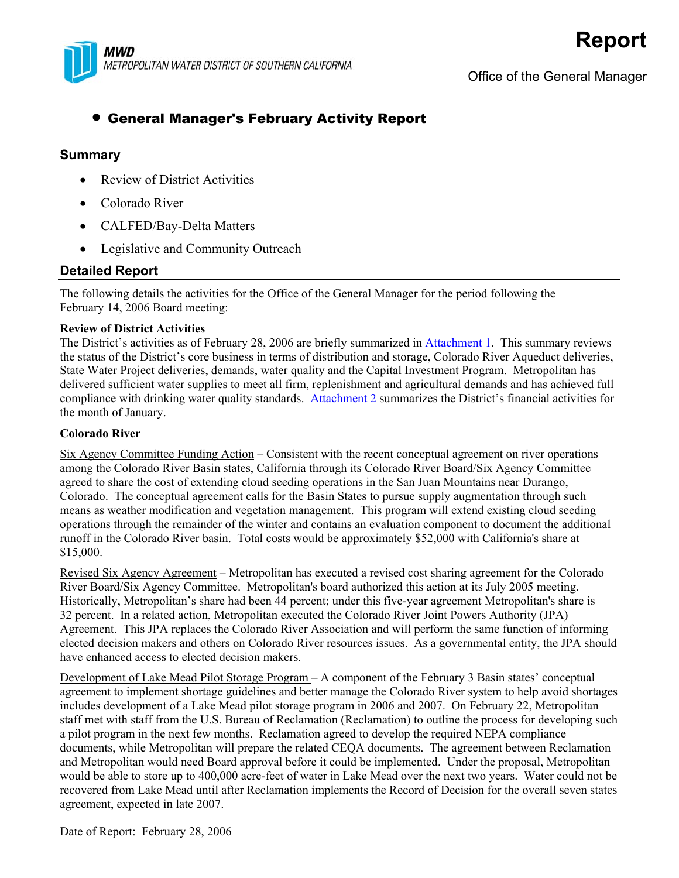

# • General Manager's February Activity Report

# **Summary**

- Review of District Activities
- Colorado River
- CALFED/Bay-Delta Matters
- Legislative and Community Outreach

# **Detailed Report**

The following details the activities for the Office of the General Manager for the period following the February 14, 2006 Board meeting:

# **Review of District Activities**

The District's activities as of February 28, 2006 are briefly summarized in Attachment 1. This summary reviews the status of the District's core business in terms of distribution and storage, Colorado River Aqueduct deliveries, State Water Project deliveries, demands, water quality and the Capital Investment Program. Metropolitan has delivered sufficient water supplies to meet all firm, replenishment and agricultural demands and has achieved full compliance with drinking water quality standards. Attachment 2 summarizes the District's financial activities for the month of January.

# **Colorado River**

Six Agency Committee Funding Action – Consistent with the recent conceptual agreement on river operations among the Colorado River Basin states, California through its Colorado River Board/Six Agency Committee agreed to share the cost of extending cloud seeding operations in the San Juan Mountains near Durango, Colorado. The conceptual agreement calls for the Basin States to pursue supply augmentation through such means as weather modification and vegetation management. This program will extend existing cloud seeding operations through the remainder of the winter and contains an evaluation component to document the additional runoff in the Colorado River basin. Total costs would be approximately \$52,000 with California's share at \$15,000.

Revised Six Agency Agreement – Metropolitan has executed a revised cost sharing agreement for the Colorado River Board/Six Agency Committee. Metropolitan's board authorized this action at its July 2005 meeting. Historically, Metropolitan's share had been 44 percent; under this five-year agreement Metropolitan's share is 32 percent. In a related action, Metropolitan executed the Colorado River Joint Powers Authority (JPA) Agreement. This JPA replaces the Colorado River Association and will perform the same function of informing elected decision makers and others on Colorado River resources issues. As a governmental entity, the JPA should have enhanced access to elected decision makers.

Development of Lake Mead Pilot Storage Program – A component of the February 3 Basin states' conceptual agreement to implement shortage guidelines and better manage the Colorado River system to help avoid shortages includes development of a Lake Mead pilot storage program in 2006 and 2007. On February 22, Metropolitan staff met with staff from the U.S. Bureau of Reclamation (Reclamation) to outline the process for developing such a pilot program in the next few months. Reclamation agreed to develop the required NEPA compliance documents, while Metropolitan will prepare the related CEQA documents. The agreement between Reclamation and Metropolitan would need Board approval before it could be implemented. Under the proposal, Metropolitan would be able to store up to 400,000 acre-feet of water in Lake Mead over the next two years. Water could not be recovered from Lake Mead until after Reclamation implements the Record of Decision for the overall seven states agreement, expected in late 2007.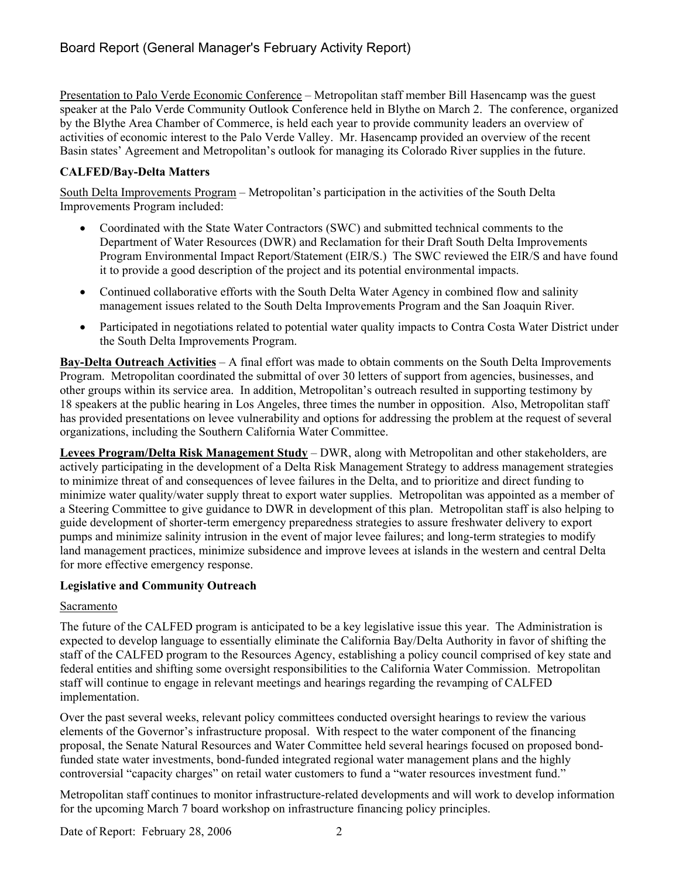Presentation to Palo Verde Economic Conference – Metropolitan staff member Bill Hasencamp was the guest speaker at the Palo Verde Community Outlook Conference held in Blythe on March 2. The conference, organized by the Blythe Area Chamber of Commerce, is held each year to provide community leaders an overview of activities of economic interest to the Palo Verde Valley. Mr. Hasencamp provided an overview of the recent Basin states' Agreement and Metropolitan's outlook for managing its Colorado River supplies in the future.

# **CALFED/Bay-Delta Matters**

South Delta Improvements Program – Metropolitan's participation in the activities of the South Delta Improvements Program included:

- Coordinated with the State Water Contractors (SWC) and submitted technical comments to the Department of Water Resources (DWR) and Reclamation for their Draft South Delta Improvements Program Environmental Impact Report/Statement (EIR/S.) The SWC reviewed the EIR/S and have found it to provide a good description of the project and its potential environmental impacts.
- Continued collaborative efforts with the South Delta Water Agency in combined flow and salinity management issues related to the South Delta Improvements Program and the San Joaquin River.
- Participated in negotiations related to potential water quality impacts to Contra Costa Water District under the South Delta Improvements Program.

**Bay-Delta Outreach Activities** – A final effort was made to obtain comments on the South Delta Improvements Program. Metropolitan coordinated the submittal of over 30 letters of support from agencies, businesses, and other groups within its service area. In addition, Metropolitan's outreach resulted in supporting testimony by 18 speakers at the public hearing in Los Angeles, three times the number in opposition. Also, Metropolitan staff has provided presentations on levee vulnerability and options for addressing the problem at the request of several organizations, including the Southern California Water Committee.

**Levees Program/Delta Risk Management Study** – DWR, along with Metropolitan and other stakeholders, are actively participating in the development of a Delta Risk Management Strategy to address management strategies to minimize threat of and consequences of levee failures in the Delta, and to prioritize and direct funding to minimize water quality/water supply threat to export water supplies. Metropolitan was appointed as a member of a Steering Committee to give guidance to DWR in development of this plan. Metropolitan staff is also helping to guide development of shorter-term emergency preparedness strategies to assure freshwater delivery to export pumps and minimize salinity intrusion in the event of major levee failures; and long-term strategies to modify land management practices, minimize subsidence and improve levees at islands in the western and central Delta for more effective emergency response.

# **Legislative and Community Outreach**

# Sacramento

The future of the CALFED program is anticipated to be a key legislative issue this year. The Administration is expected to develop language to essentially eliminate the California Bay/Delta Authority in favor of shifting the staff of the CALFED program to the Resources Agency, establishing a policy council comprised of key state and federal entities and shifting some oversight responsibilities to the California Water Commission. Metropolitan staff will continue to engage in relevant meetings and hearings regarding the revamping of CALFED implementation.

Over the past several weeks, relevant policy committees conducted oversight hearings to review the various elements of the Governor's infrastructure proposal. With respect to the water component of the financing proposal, the Senate Natural Resources and Water Committee held several hearings focused on proposed bondfunded state water investments, bond-funded integrated regional water management plans and the highly controversial "capacity charges" on retail water customers to fund a "water resources investment fund."

Metropolitan staff continues to monitor infrastructure-related developments and will work to develop information for the upcoming March 7 board workshop on infrastructure financing policy principles.

Date of Report: February 28, 2006 2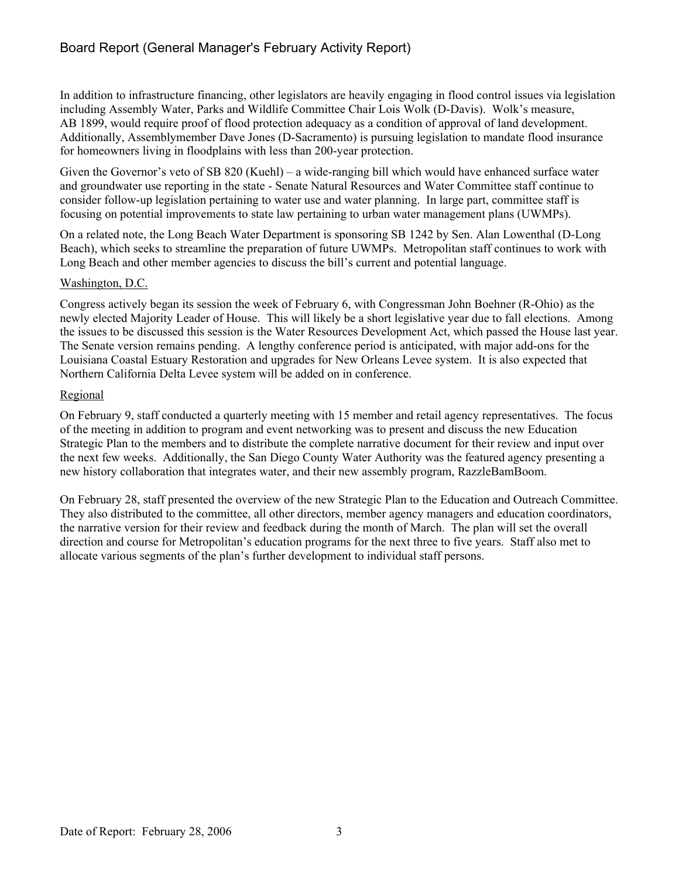In addition to infrastructure financing, other legislators are heavily engaging in flood control issues via legislation including Assembly Water, Parks and Wildlife Committee Chair Lois Wolk (D-Davis). Wolk's measure, AB 1899, would require proof of flood protection adequacy as a condition of approval of land development. Additionally, Assemblymember Dave Jones (D-Sacramento) is pursuing legislation to mandate flood insurance for homeowners living in floodplains with less than 200-year protection.

Given the Governor's veto of SB 820 (Kuehl) – a wide-ranging bill which would have enhanced surface water and groundwater use reporting in the state - Senate Natural Resources and Water Committee staff continue to consider follow-up legislation pertaining to water use and water planning. In large part, committee staff is focusing on potential improvements to state law pertaining to urban water management plans (UWMPs).

On a related note, the Long Beach Water Department is sponsoring SB 1242 by Sen. Alan Lowenthal (D-Long Beach), which seeks to streamline the preparation of future UWMPs. Metropolitan staff continues to work with Long Beach and other member agencies to discuss the bill's current and potential language.

# Washington, D.C.

Congress actively began its session the week of February 6, with Congressman John Boehner (R-Ohio) as the newly elected Majority Leader of House. This will likely be a short legislative year due to fall elections. Among the issues to be discussed this session is the Water Resources Development Act, which passed the House last year. The Senate version remains pending. A lengthy conference period is anticipated, with major add-ons for the Louisiana Coastal Estuary Restoration and upgrades for New Orleans Levee system. It is also expected that Northern California Delta Levee system will be added on in conference.

# Regional

On February 9, staff conducted a quarterly meeting with 15 member and retail agency representatives. The focus of the meeting in addition to program and event networking was to present and discuss the new Education Strategic Plan to the members and to distribute the complete narrative document for their review and input over the next few weeks. Additionally, the San Diego County Water Authority was the featured agency presenting a new history collaboration that integrates water, and their new assembly program, RazzleBamBoom.

On February 28, staff presented the overview of the new Strategic Plan to the Education and Outreach Committee. They also distributed to the committee, all other directors, member agency managers and education coordinators, the narrative version for their review and feedback during the month of March. The plan will set the overall direction and course for Metropolitan's education programs for the next three to five years. Staff also met to allocate various segments of the plan's further development to individual staff persons.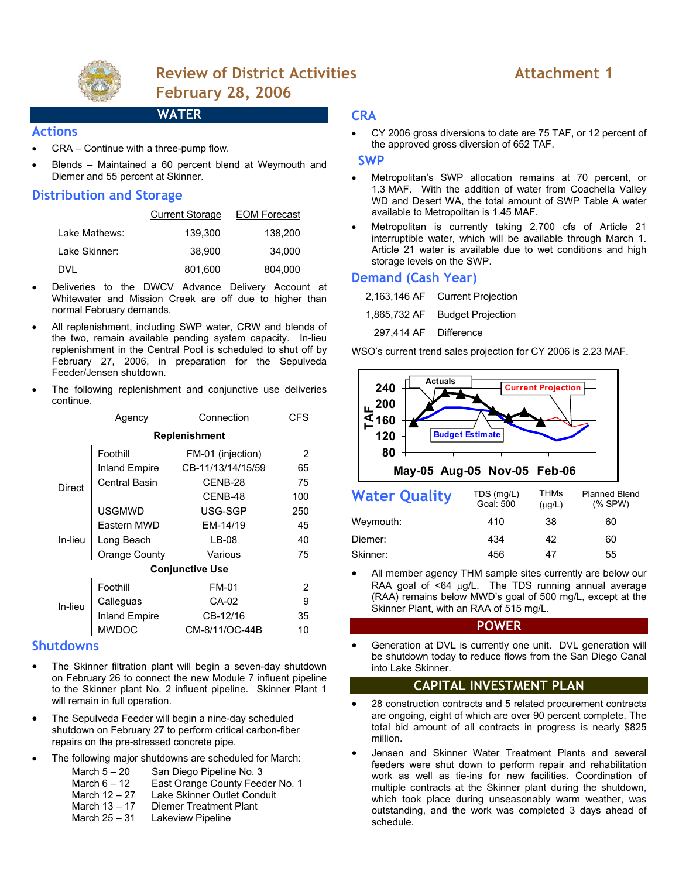

# **Review of District Activities Attachment 1 February 28, 2006**

# **WATER**

#### **Actions**

- CRA Continue with a three-pump flow.
- Blends Maintained a 60 percent blend at Weymouth and Diemer and 55 percent at Skinner.

# **Distribution and Storage**

|               | <b>Current Storage</b> | <b>EOM Forecast</b> |
|---------------|------------------------|---------------------|
| Lake Mathews: | 139.300                | 138.200             |
| Lake Skinner: | 38,900                 | 34,000              |
| DVL           | 801,600                | 804.000             |

- Deliveries to the DWCV Advance Delivery Account at Whitewater and Mission Creek are off due to higher than normal February demands.
- All replenishment, including SWP water, CRW and blends of the two, remain available pending system capacity. In-lieu replenishment in the Central Pool is scheduled to shut off by February 27, 2006, in preparation for the Sepulveda Feeder/Jensen shutdown.
- The following replenishment and conjunctive use deliveries continue.

| Agency                 |                             | Connection        | CFS |  |  |  |
|------------------------|-----------------------------|-------------------|-----|--|--|--|
| <b>Replenishment</b>   |                             |                   |     |  |  |  |
|                        | Foothill                    | FM-01 (injection) | 2   |  |  |  |
| <b>Direct</b>          | <b>Inland Empire</b>        | CB-11/13/14/15/59 | 65  |  |  |  |
|                        | Central Basin               | CENB-28           | 75  |  |  |  |
|                        |                             | CENB-48           | 100 |  |  |  |
|                        | <b>USGMWD</b>               | USG-SGP           | 250 |  |  |  |
| In-lieu                | Eastern MWD                 | EM-14/19          | 45  |  |  |  |
|                        | Long Beach<br>Orange County | LB-08             | 40  |  |  |  |
|                        |                             | Various           | 75  |  |  |  |
| <b>Conjunctive Use</b> |                             |                   |     |  |  |  |
| In-lieu                | Foothill                    | <b>FM-01</b>      | 2   |  |  |  |
|                        | Calleguas                   | CA-02             | 9   |  |  |  |
|                        | <b>Inland Empire</b>        | CB-12/16          | 35  |  |  |  |
|                        | <b>MWDOC</b>                | CM-8/11/OC-44B    | 10  |  |  |  |

### **Shutdowns**

- The Skinner filtration plant will begin a seven-day shutdown on February 26 to connect the new Module 7 influent pipeline to the Skinner plant No. 2 influent pipeline. Skinner Plant 1 will remain in full operation.
- The Sepulveda Feeder will begin a nine-day scheduled shutdown on February 27 to perform critical carbon-fiber repairs on the pre-stressed concrete pipe.
- The following major shutdowns are scheduled for March:
	- March 5 20 San Diego Pipeline No. 3
	- March 6 12 East Orange County Feeder No. 1<br>March 12 27 Lake Skinner Outlet Conduit
	- March 12 27 Lake Skinner Outlet Conduit<br>March 13 17 Diemer Treatment Plant
	- March 13 17 Diemer Treatment Plant<br>March 25 31 Lakeview Pipeline
	- Lakeview Pipeline

## **CRA**

• CY 2006 gross diversions to date are 75 TAF, or 12 percent of the approved gross diversion of 652 TAF.

### **SWP**

- Metropolitan's SWP allocation remains at 70 percent, or 1.3 MAF. With the addition of water from Coachella Valley WD and Desert WA, the total amount of SWP Table A water available to Metropolitan is 1.45 MAF.
- Metropolitan is currently taking 2,700 cfs of Article 21 interruptible water, which will be available through March 1. Article 21 water is available due to wet conditions and high storage levels on the SWP.

# **Demand (Cash Year)**

- 2,163,146 AF Current Projection
- 1,865,732 AF Budget Projection
- 297,414 AF Difference

WSO's current trend sales projection for CY 2006 is 2.23 MAF.



| <b>Water Quality</b> | TDS (mg/L)<br>Goal: 500 | THMs<br>$(\mu g/L)$ | <b>Planned Blend</b><br>$(%$ SPW $)$ |
|----------------------|-------------------------|---------------------|--------------------------------------|
| Weymouth:            | 410                     | 38                  | 60                                   |
| Diemer:              | 434                     | 42                  | 60                                   |
| Skinner:             | 456                     | 47                  | 55                                   |

All member agency THM sample sites currently are below our RAA goal of <64 µg/L. The TDS running annual average (RAA) remains below MWD's goal of 500 mg/L, except at the Skinner Plant, with an RAA of 515 mg/L.

#### **POWER**

Generation at DVL is currently one unit. DVL generation will be shutdown today to reduce flows from the San Diego Canal into Lake Skinner.

# **CAPITAL INVESTMENT PLAN**

- 28 construction contracts and 5 related procurement contracts are ongoing, eight of which are over 90 percent complete. The total bid amount of all contracts in progress is nearly \$825 million.
- Jensen and Skinner Water Treatment Plants and several feeders were shut down to perform repair and rehabilitation work as well as tie-ins for new facilities. Coordination of multiple contracts at the Skinner plant during the shutdown, which took place during unseasonably warm weather, was outstanding, and the work was completed 3 days ahead of schedule.